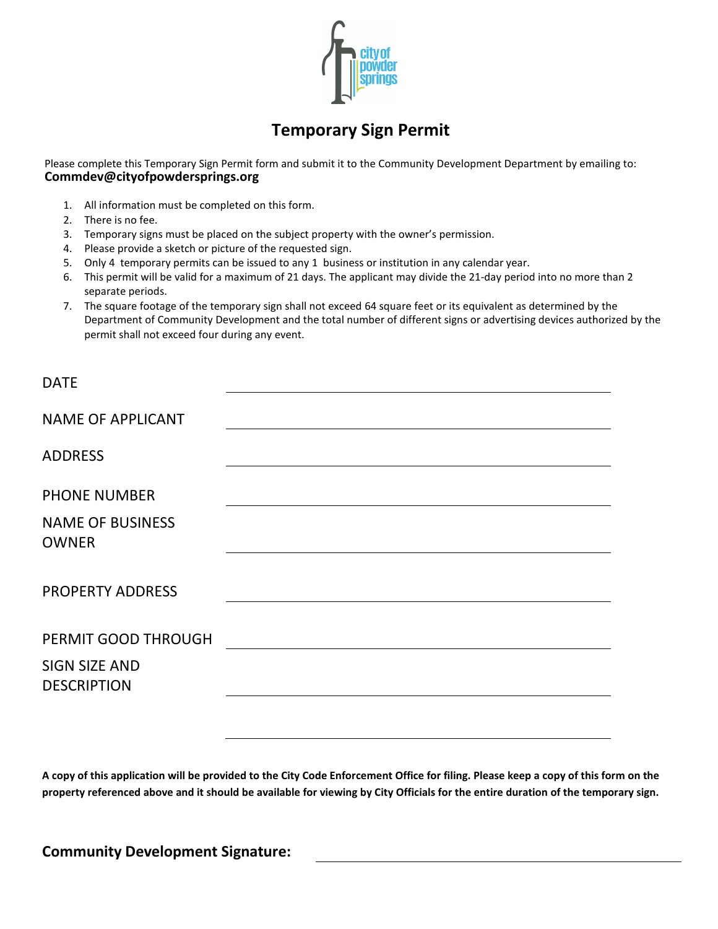

## **Temporary Sign Permit**

Please complete this Temporary Sign Permit form and submit it to the Community Development Department by emailing to: **Commdev@cityofpowdersprings.org**

- 1. All information must be completed on this form.
- 2. There is no fee.
- 3. Temporary signs must be placed on the subject property with the owner's permission.
- 4. Please provide a sketch or picture of the requested sign.
- 5. Only 4 temporary permits can be issued to any 1 business or institution in any calendar year.
- 6. This permit will be valid for a maximum of 21 days. The applicant may divide the 21-day period into no more than 2 separate periods.
- 7. The square footage of the temporary sign shall not exceed 64 square feet or its equivalent as determined by the Department of Community Development and the total number of different signs or advertising devices authorized by the permit shall not exceed four during any event.

| <b>DATE</b>                                |  |
|--------------------------------------------|--|
| <b>NAME OF APPLICANT</b>                   |  |
| <b>ADDRESS</b>                             |  |
| <b>PHONE NUMBER</b>                        |  |
| <b>NAME OF BUSINESS</b><br><b>OWNER</b>    |  |
| <b>PROPERTY ADDRESS</b>                    |  |
|                                            |  |
| PERMIT GOOD THROUGH                        |  |
| <b>SIGN SIZE AND</b><br><b>DESCRIPTION</b> |  |
|                                            |  |

**A copy of this application will be provided to the City Code Enforcement Office for filing. Please keep a copy of this form on the property referenced above and it should be available for viewing by City Officials for the entire duration of the temporary sign.**

**Community Development Signature:**